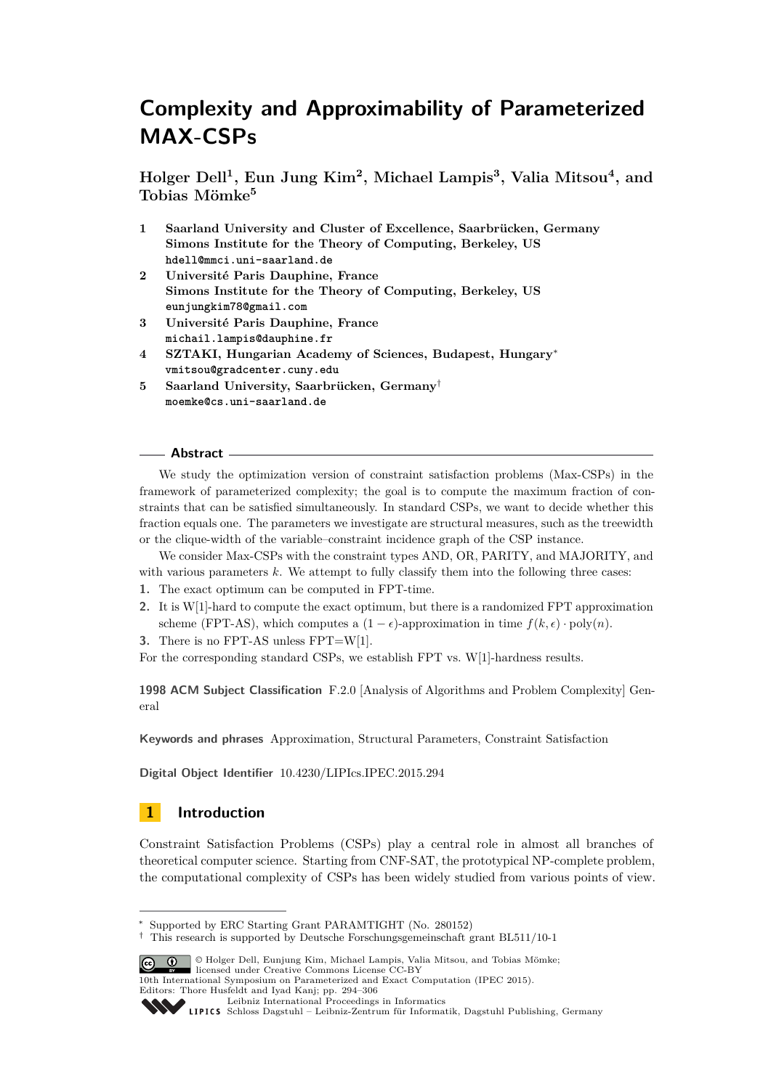**Holger Dell<sup>1</sup> , Eun Jung Kim<sup>2</sup> , Michael Lampis<sup>3</sup> , Valia Mitsou<sup>4</sup> , and Tobias Mömke<sup>5</sup>**

- **1 Saarland University and Cluster of Excellence, Saarbrücken, Germany Simons Institute for the Theory of Computing, Berkeley, US hdell@mmci.uni-saarland.de**
- **2 Université Paris Dauphine, France Simons Institute for the Theory of Computing, Berkeley, US eunjungkim78@gmail.com**
- **3 Université Paris Dauphine, France michail.lampis@dauphine.fr**
- **4 SZTAKI, Hungarian Academy of Sciences, Budapest, Hungary**<sup>∗</sup> **vmitsou@gradcenter.cuny.edu**
- **5 Saarland University, Saarbrücken, Germany**† **moemke@cs.uni-saarland.de**

## **Abstract**

We study the optimization version of constraint satisfaction problems (Max-CSPs) in the framework of parameterized complexity; the goal is to compute the maximum fraction of constraints that can be satisfied simultaneously. In standard CSPs, we want to decide whether this fraction equals one. The parameters we investigate are structural measures, such as the treewidth or the clique-width of the variable–constraint incidence graph of the CSP instance.

We consider Max-CSPs with the constraint types AND, OR, PARITY, and MAJORITY, and with various parameters  $k$ . We attempt to fully classify them into the following three cases:

- **1.** The exact optimum can be computed in FPT-time.
- **2.** It is W[1]-hard to compute the exact optimum, but there is a randomized FPT approximation scheme (FPT-AS), which computes a  $(1 - \epsilon)$ -approximation in time  $f(k, \epsilon) \cdot \text{poly}(n)$ .
- **3.** There is no FPT-AS unless FPT=W[1].

For the corresponding standard CSPs, we establish FPT vs. W[1]-hardness results.

**1998 ACM Subject Classification** F.2.0 [Analysis of Algorithms and Problem Complexity] General

**Keywords and phrases** Approximation, Structural Parameters, Constraint Satisfaction

**Digital Object Identifier** [10.4230/LIPIcs.IPEC.2015.294](http://dx.doi.org/10.4230/LIPIcs.IPEC.2015.294)

# **1 Introduction**

Constraint Satisfaction Problems (CSPs) play a central role in almost all branches of theoretical computer science. Starting from CNF-SAT, the prototypical NP-complete problem, the computational complexity of CSPs has been widely studied from various points of view.



Editors: Thore Husfeldt and Iyad Kanj; pp. 294[–306](#page-12-0)

Supported by ERC Starting Grant PARAMTIGHT (No. 280152)

<sup>†</sup> This research is supported by Deutsche Forschungsgemeinschaft grant BL511/10-1

[Leibniz International Proceedings in Informatics](http://www.dagstuhl.de/lipics/) Leibniz international Froceedings in informatik, Dagstuhl Publishing, Germany<br>LIPICS [Schloss Dagstuhl – Leibniz-Zentrum für Informatik, Dagstuhl Publishing, Germany](http://www.dagstuhl.de)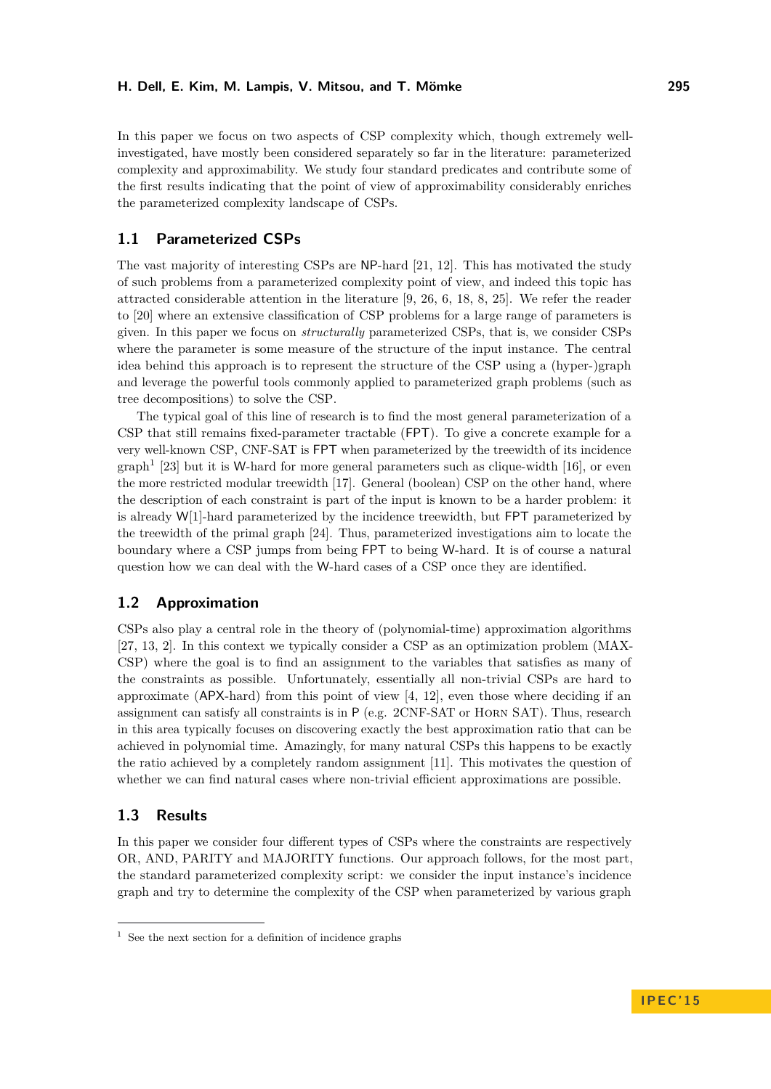In this paper we focus on two aspects of CSP complexity which, though extremely wellinvestigated, have mostly been considered separately so far in the literature: parameterized complexity and approximability. We study four standard predicates and contribute some of the first results indicating that the point of view of approximability considerably enriches the parameterized complexity landscape of CSPs.

# **1.1 Parameterized CSPs**

The vast majority of interesting CSPs are NP-hard [\[21,](#page-11-0) [12\]](#page-11-1). This has motivated the study of such problems from a parameterized complexity point of view, and indeed this topic has attracted considerable attention in the literature [\[9,](#page-10-0) [26,](#page-12-1) [6,](#page-10-1) [18,](#page-11-2) [8,](#page-10-2) [25\]](#page-11-3). We refer the reader to [\[20\]](#page-11-4) where an extensive classification of CSP problems for a large range of parameters is given. In this paper we focus on *structurally* parameterized CSPs, that is, we consider CSPs where the parameter is some measure of the structure of the input instance. The central idea behind this approach is to represent the structure of the CSP using a (hyper-)graph and leverage the powerful tools commonly applied to parameterized graph problems (such as tree decompositions) to solve the CSP.

The typical goal of this line of research is to find the most general parameterization of a CSP that still remains fixed-parameter tractable (FPT). To give a concrete example for a very well-known CSP, CNF-SAT is FPT when parameterized by the treewidth of its incidence  $graph<sup>1</sup>$  $graph<sup>1</sup>$  $graph<sup>1</sup>$  [\[23\]](#page-11-5) but it is W-hard for more general parameters such as clique-width [\[16\]](#page-11-6), or even the more restricted modular treewidth [\[17\]](#page-11-7). General (boolean) CSP on the other hand, where the description of each constraint is part of the input is known to be a harder problem: it is already W[1]-hard parameterized by the incidence treewidth, but FPT parameterized by the treewidth of the primal graph [\[24\]](#page-11-8). Thus, parameterized investigations aim to locate the boundary where a CSP jumps from being FPT to being W-hard. It is of course a natural question how we can deal with the W-hard cases of a CSP once they are identified.

# **1.2 Approximation**

CSPs also play a central role in the theory of (polynomial-time) approximation algorithms [\[27,](#page-12-2) [13,](#page-11-9) [2\]](#page-10-3). In this context we typically consider a CSP as an optimization problem (MAX-CSP) where the goal is to find an assignment to the variables that satisfies as many of the constraints as possible. Unfortunately, essentially all non-trivial CSPs are hard to approximate  $(APX$ -hard) from this point of view [\[4,](#page-10-4) [12\]](#page-11-1), even those where deciding if an assignment can satisfy all constraints is in P (e.g. 2CNF-SAT or Horn SAT). Thus, research in this area typically focuses on discovering exactly the best approximation ratio that can be achieved in polynomial time. Amazingly, for many natural CSPs this happens to be exactly the ratio achieved by a completely random assignment [\[11\]](#page-11-10). This motivates the question of whether we can find natural cases where non-trivial efficient approximations are possible.

# **1.3 Results**

In this paper we consider four different types of CSPs where the constraints are respectively OR, AND, PARITY and MAJORITY functions. Our approach follows, for the most part, the standard parameterized complexity script: we consider the input instance's incidence graph and try to determine the complexity of the CSP when parameterized by various graph

<span id="page-1-0"></span> $<sup>1</sup>$  See the next section for a definition of incidence graphs</sup>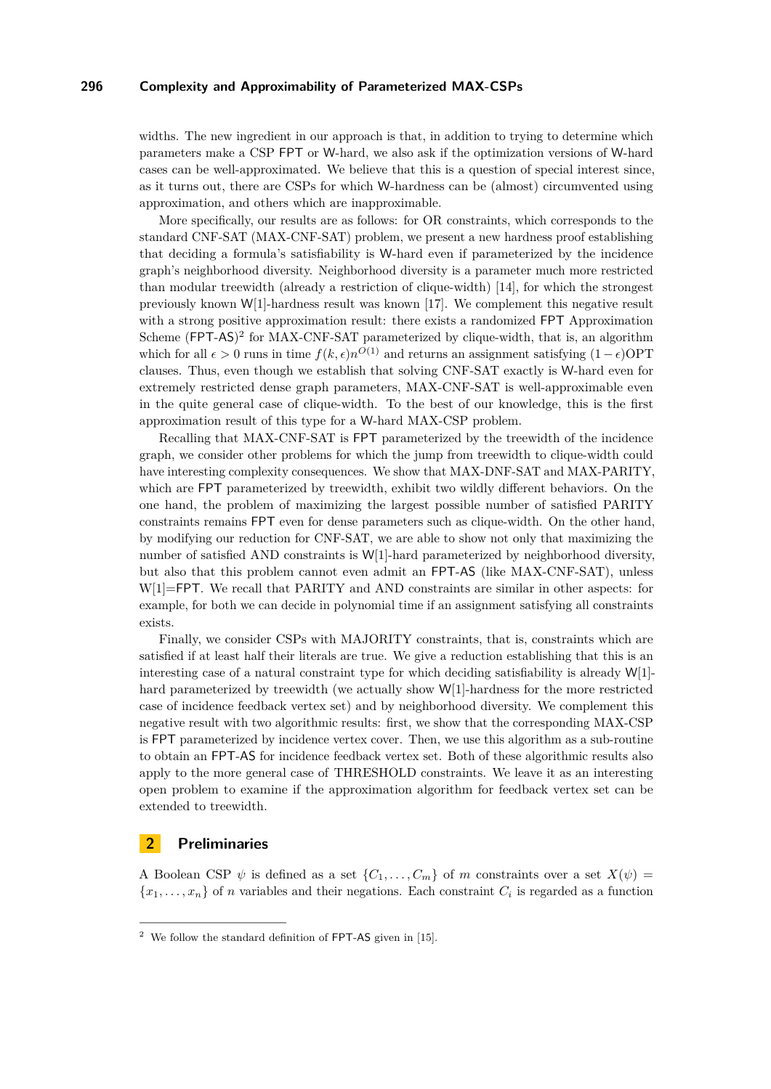widths. The new ingredient in our approach is that, in addition to trying to determine which parameters make a CSP FPT or W-hard, we also ask if the optimization versions of W-hard cases can be well-approximated. We believe that this is a question of special interest since, as it turns out, there are CSPs for which W-hardness can be (almost) circumvented using approximation, and others which are inapproximable.

More specifically, our results are as follows: for OR constraints, which corresponds to the standard CNF-SAT (MAX-CNF-SAT) problem, we present a new hardness proof establishing that deciding a formula's satisfiability is W-hard even if parameterized by the incidence graph's neighborhood diversity. Neighborhood diversity is a parameter much more restricted than modular treewidth (already a restriction of clique-width) [\[14\]](#page-11-11), for which the strongest previously known  $W[1]$ -hardness result was known [\[17\]](#page-11-7). We complement this negative result with a strong positive approximation result: there exists a randomized FPT Approximation Scheme (FPT-AS)<sup>[2](#page-2-0)</sup> for MAX-CNF-SAT parameterized by clique-width, that is, an algorithm which for all  $\epsilon > 0$  runs in time  $f(k, \epsilon)n^{O(1)}$  and returns an assignment satisfying  $(1 - \epsilon)$ OPT clauses. Thus, even though we establish that solving CNF-SAT exactly is W-hard even for extremely restricted dense graph parameters, MAX-CNF-SAT is well-approximable even in the quite general case of clique-width. To the best of our knowledge, this is the first approximation result of this type for a W-hard MAX-CSP problem.

Recalling that MAX-CNF-SAT is FPT parameterized by the treewidth of the incidence graph, we consider other problems for which the jump from treewidth to clique-width could have interesting complexity consequences. We show that MAX-DNF-SAT and MAX-PARITY, which are FPT parameterized by treewidth, exhibit two wildly different behaviors. On the one hand, the problem of maximizing the largest possible number of satisfied PARITY constraints remains FPT even for dense parameters such as clique-width. On the other hand, by modifying our reduction for CNF-SAT, we are able to show not only that maximizing the number of satisfied AND constraints is W[1]-hard parameterized by neighborhood diversity, but also that this problem cannot even admit an FPT-AS (like MAX-CNF-SAT), unless W[1]=FPT. We recall that PARITY and AND constraints are similar in other aspects: for example, for both we can decide in polynomial time if an assignment satisfying all constraints exists.

Finally, we consider CSPs with MAJORITY constraints, that is, constraints which are satisfied if at least half their literals are true. We give a reduction establishing that this is an interesting case of a natural constraint type for which deciding satisfiability is already  $W[1]$ hard parameterized by treewidth (we actually show W[1]-hardness for the more restricted case of incidence feedback vertex set) and by neighborhood diversity. We complement this negative result with two algorithmic results: first, we show that the corresponding MAX-CSP is FPT parameterized by incidence vertex cover. Then, we use this algorithm as a sub-routine to obtain an FPT-AS for incidence feedback vertex set. Both of these algorithmic results also apply to the more general case of THRESHOLD constraints. We leave it as an interesting open problem to examine if the approximation algorithm for feedback vertex set can be extended to treewidth.

# **2 Preliminaries**

A Boolean CSP  $\psi$  is defined as a set  $\{C_1, \ldots, C_m\}$  of *m* constraints over a set  $X(\psi)$  =  ${x_1, \ldots, x_n}$  of *n* variables and their negations. Each constraint  $C_i$  is regarded as a function

<span id="page-2-0"></span> $2$  We follow the standard definition of FPT-AS given in [\[15\]](#page-11-12).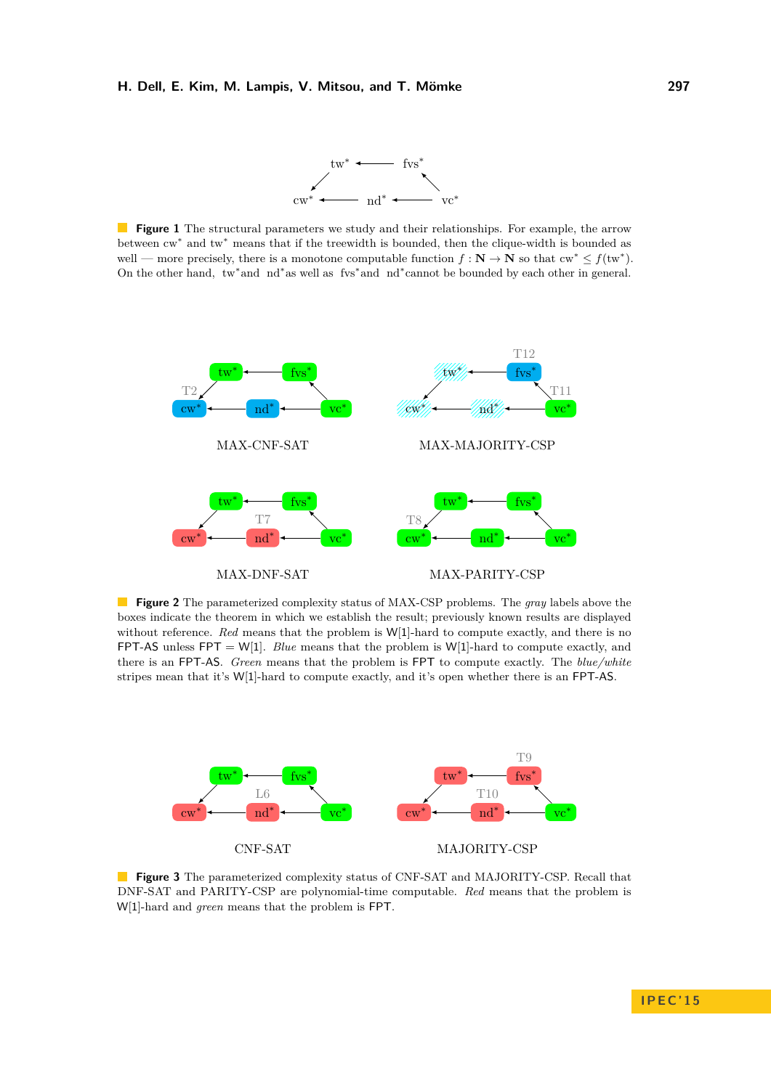

**Figure 1** The structural parameters we study and their relationships. For example, the arrow between cw<sup>∗</sup> and tw<sup>∗</sup> means that if the treewidth is bounded, then the clique-width is bounded as well — more precisely, there is a monotone computable function  $f : \mathbb{N} \to \mathbb{N}$  so that  $cw^* \leq f(w^*)$ . On the other hand, tw<sup>∗</sup> and nd<sup>∗</sup> as well as fvs<sup>∗</sup> and nd<sup>∗</sup> cannot be bounded by each other in general.



**Figure 2** The parameterized complexity status of MAX-CSP problems. The *gray* labels above the boxes indicate the theorem in which we establish the result; previously known results are displayed without reference. *Red* means that the problem is W[1]-hard to compute exactly, and there is no FPT-AS unless  $FPT = W[1]$ . *Blue* means that the problem is W[1]-hard to compute exactly, and there is an FPT-AS. *Green* means that the problem is FPT to compute exactly. The *blue/white* stripes mean that it's W[1]-hard to compute exactly, and it's open whether there is an FPT-AS.



**Figure 3** The parameterized complexity status of CNF-SAT and MAJORITY-CSP. Recall that DNF-SAT and PARITY-CSP are polynomial-time computable. *Red* means that the problem is W[1]-hard and *green* means that the problem is FPT.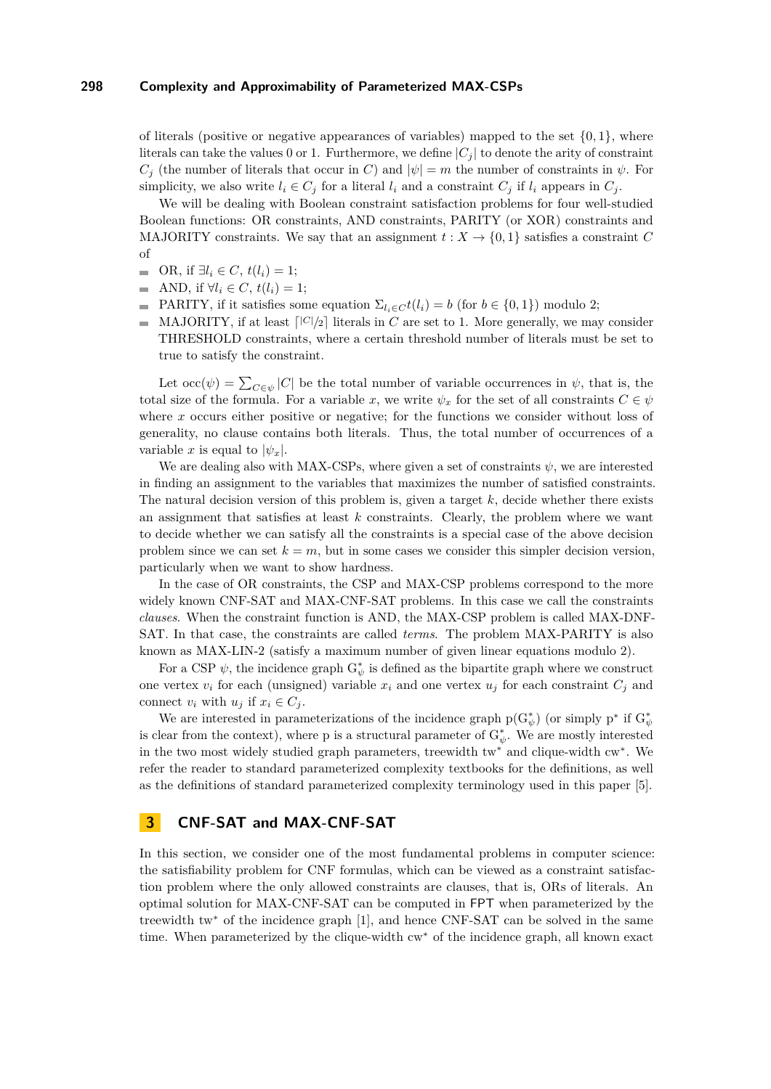of literals (positive or negative appearances of variables) mapped to the set  $\{0, 1\}$ , where literals can take the values 0 or 1. Furthermore, we define  $|C_i|$  to denote the arity of constraint  $C_i$  (the number of literals that occur in *C*) and  $|\psi| = m$  the number of constraints in  $\psi$ . For simplicity, we also write  $l_i \in C_j$  for a literal  $l_i$  and a constraint  $C_j$  if  $l_i$  appears in  $C_j$ .

We will be dealing with Boolean constraint satisfaction problems for four well-studied Boolean functions: OR constraints, AND constraints, PARITY (or XOR) constraints and MAJORITY constraints. We say that an assignment  $t : X \to \{0,1\}$  satisfies a constraint C of

- OR, if  $\exists l_i \in C$ ,  $t(l_i) = 1$ ;  $\overline{\phantom{a}}$
- $\blacksquare$  AND, if  $\forall l_i \in C$ ,  $t(l_i) = 1$ ;
- PARITY, if it satisfies some equation  $\Sigma_{l_i \in C} t(l_i) = b$  (for  $b \in \{0, 1\}$ ) modulo 2;
- MAJORITY, if at least  $\lceil |C|/2 \rceil$  literals in *C* are set to 1. More generally, we may consider THRESHOLD constraints, where a certain threshold number of literals must be set to true to satisfy the constraint.

Let  $\text{occ}(\psi) = \sum_{C \in \psi} |C|$  be the total number of variable occurrences in  $\psi$ , that is, the total size of the formula. For a variable *x*, we write  $\psi_x$  for the set of all constraints  $C \in \psi$ where *x* occurs either positive or negative; for the functions we consider without loss of generality, no clause contains both literals. Thus, the total number of occurrences of a variable *x* is equal to  $|\psi_x|$ .

We are dealing also with MAX-CSPs, where given a set of constraints  $\psi$ , we are interested in finding an assignment to the variables that maximizes the number of satisfied constraints. The natural decision version of this problem is, given a target *k*, decide whether there exists an assignment that satisfies at least *k* constraints. Clearly, the problem where we want to decide whether we can satisfy all the constraints is a special case of the above decision problem since we can set  $k = m$ , but in some cases we consider this simpler decision version, particularly when we want to show hardness.

In the case of OR constraints, the CSP and MAX-CSP problems correspond to the more widely known CNF-SAT and MAX-CNF-SAT problems. In this case we call the constraints *clauses*. When the constraint function is AND, the MAX-CSP problem is called MAX-DNF-SAT. In that case, the constraints are called *terms*. The problem MAX-PARITY is also known as MAX-LIN-2 (satisfy a maximum number of given linear equations modulo 2).

For a CSP  $\psi$ , the incidence graph  $G^*_{\psi}$  is defined as the bipartite graph where we construct one vertex  $v_i$  for each (unsigned) variable  $x_i$  and one vertex  $u_j$  for each constraint  $C_j$  and connect  $v_i$  with  $u_j$  if  $x_i \in C_j$ .

We are interested in parameterizations of the incidence graph  $p(G^*_{\psi})$  (or simply  $p^*$  if  $G^*_{\psi}$ ) is clear from the context), where p is a structural parameter of  $G_{\psi}^*$ . We are mostly interested in the two most widely studied graph parameters, treewidth tw<sup>∗</sup> and clique-width cw<sup>∗</sup> . We refer the reader to standard parameterized complexity textbooks for the definitions, as well as the definitions of standard parameterized complexity terminology used in this paper [\[5\]](#page-10-6).

# **3 CNF-SAT and MAX-CNF-SAT**

In this section, we consider one of the most fundamental problems in computer science: the satisfiability problem for CNF formulas, which can be viewed as a constraint satisfaction problem where the only allowed constraints are clauses, that is, ORs of literals. An optimal solution for MAX-CNF-SAT can be computed in FPT when parameterized by the treewidth tw<sup>\*</sup> of the incidence graph [\[1\]](#page-10-7), and hence CNF-SAT can be solved in the same time. When parameterized by the clique-width cw<sup>∗</sup> of the incidence graph, all known exact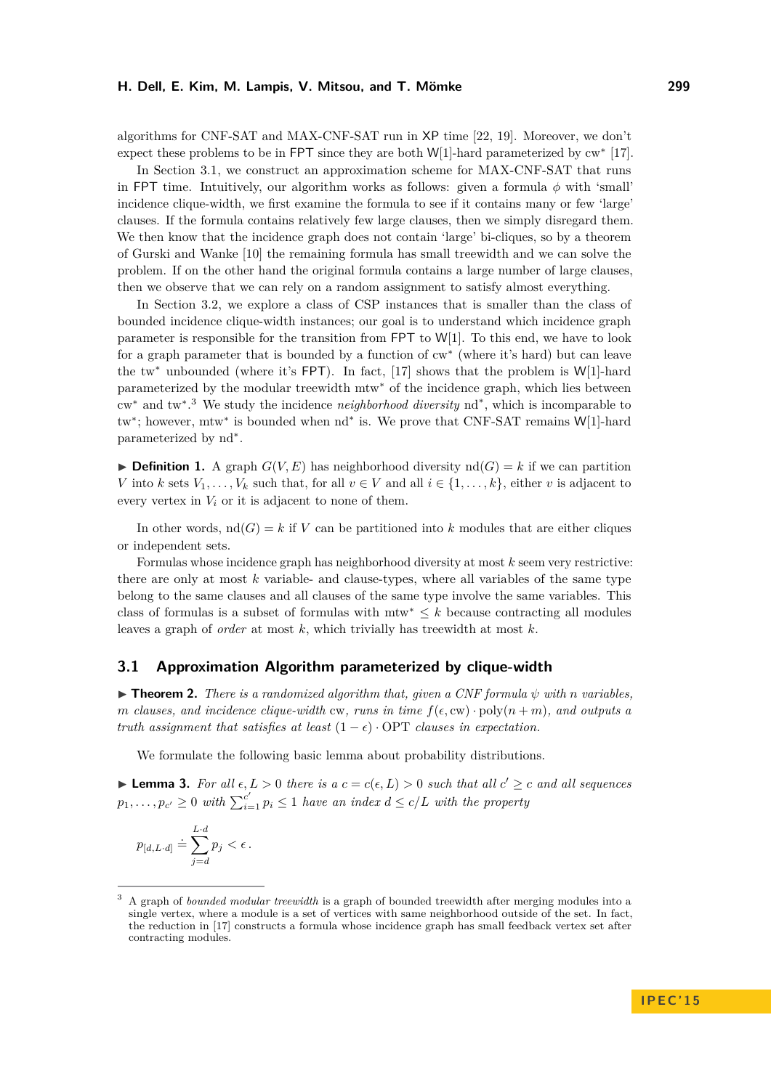algorithms for CNF-SAT and MAX-CNF-SAT run in XP time [\[22,](#page-11-13) [19\]](#page-11-14). Moreover, we don't expect these problems to be in FPT since they are both W[1]-hard parameterized by cw<sup>∗</sup> [\[17\]](#page-11-7).

In Section [3.1,](#page-5-1) we construct an approximation scheme for MAX-CNF-SAT that runs in FPT time. Intuitively, our algorithm works as follows: given a formula  $\phi$  with 'small' incidence clique-width, we first examine the formula to see if it contains many or few 'large' clauses. If the formula contains relatively few large clauses, then we simply disregard them. We then know that the incidence graph does not contain 'large' bi-cliques, so by a theorem of Gurski and Wanke [\[10\]](#page-10-8) the remaining formula has small treewidth and we can solve the problem. If on the other hand the original formula contains a large number of large clauses, then we observe that we can rely on a random assignment to satisfy almost everything.

In Section [3.2,](#page-7-1) we explore a class of CSP instances that is smaller than the class of bounded incidence clique-width instances; our goal is to understand which incidence graph parameter is responsible for the transition from FPT to  $W[1]$ . To this end, we have to look for a graph parameter that is bounded by a function of cw<sup>∗</sup> (where it's hard) but can leave the tw<sup>∗</sup> unbounded (where it's FPT). In fact, [\[17\]](#page-11-7) shows that the problem is W[1]-hard parameterized by the modular treewidth mtw<sup>\*</sup> of the incidence graph, which lies between cw<sup>∗</sup> and tw<sup>∗</sup> . [3](#page-5-2) We study the incidence *neighborhood diversity* nd<sup>∗</sup> , which is incomparable to tw<sup>\*</sup>; however, mtw<sup>\*</sup> is bounded when nd<sup>\*</sup> is. We prove that CNF-SAT remains W[1]-hard parameterized by  $nd^*$ .

**Definition 1.** A graph  $G(V, E)$  has neighborhood diversity  $\text{nd}(G) = k$  if we can partition *V* into *k* sets  $V_1, \ldots, V_k$  such that, for all  $v \in V$  and all  $i \in \{1, \ldots, k\}$ , either *v* is adjacent to every vertex in  $V_i$  or it is adjacent to none of them.

In other words,  $\text{nd}(G) = k$  if *V* can be partitioned into *k* modules that are either cliques or independent sets.

Formulas whose incidence graph has neighborhood diversity at most *k* seem very restrictive: there are only at most *k* variable- and clause-types, where all variables of the same type belong to the same clauses and all clauses of the same type involve the same variables. This class of formulas is a subset of formulas with mtw<sup>∗</sup> ≤ *k* because contracting all modules leaves a graph of *order* at most *k*, which trivially has treewidth at most *k*.

#### <span id="page-5-1"></span>**3.1 Approximation Algorithm parameterized by clique-width**

<span id="page-5-0"></span> $\triangleright$  **Theorem 2.** *There is a randomized algorithm that, given a CNF formula*  $\psi$  *with n variables, m* clauses, and incidence clique-width cw, runs in time  $f(\epsilon, cw)$  · poly $(n + m)$ , and outputs a *truth assignment that satisfies at least*  $(1 - \epsilon) \cdot \text{OPT}$  *clauses in expectation.* 

We formulate the following basic lemma about probability distributions.

<span id="page-5-3"></span>**Lemma 3.** For all  $\epsilon, L > 0$  there is a  $c = c(\epsilon, L) > 0$  such that all  $c' \geq c$  and all sequences  $p_1, \ldots, p_{c'} \geq 0$  *with*  $\sum_{i=1}^{c'} p_i \leq 1$  *have an index*  $d \leq c/L$  *with the property* 

$$
p_{[d,L \cdot d]} \doteq \sum_{j=d}^{L \cdot d} p_j < \epsilon \, .
$$



<span id="page-5-2"></span><sup>3</sup> A graph of *bounded modular treewidth* is a graph of bounded treewidth after merging modules into a single vertex, where a module is a set of vertices with same neighborhood outside of the set. In fact, the reduction in [\[17\]](#page-11-7) constructs a formula whose incidence graph has small feedback vertex set after contracting modules.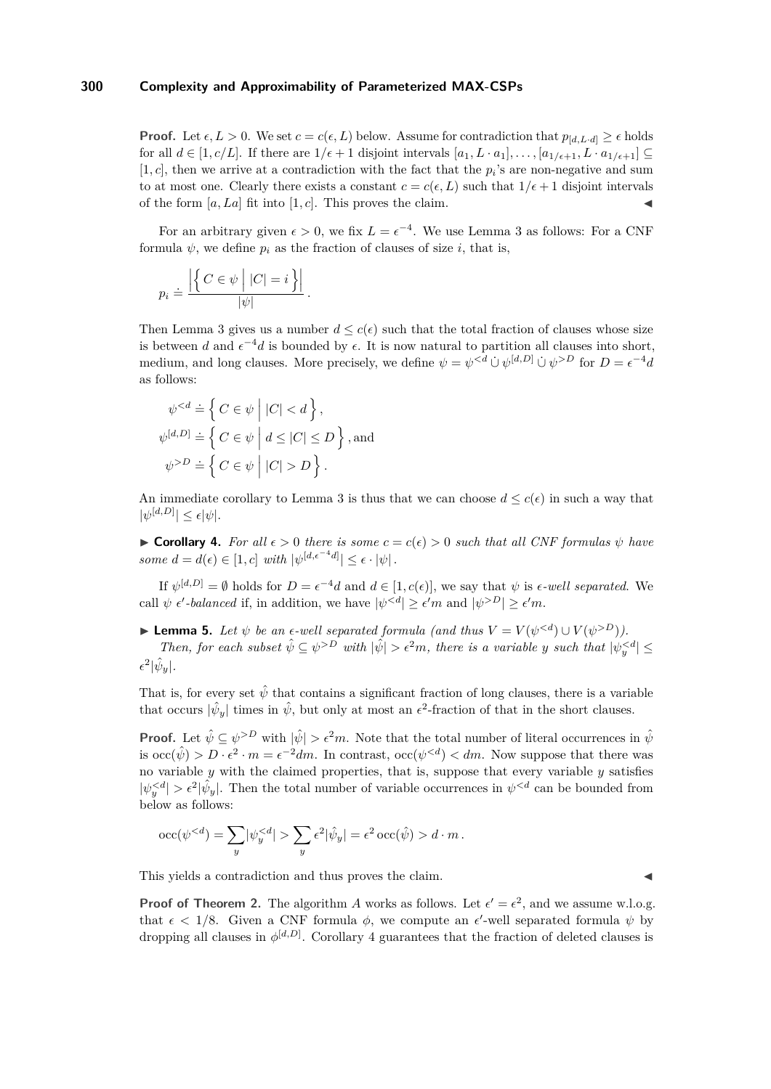**Proof.** Let  $\epsilon, L > 0$ . We set  $c = c(\epsilon, L)$  below. Assume for contradiction that  $p_{[d, L \cdot d]} \geq \epsilon$  holds for all  $d \in [1, c/L]$ . If there are  $1/\epsilon + 1$  disjoint intervals  $[a_1, L \cdot a_1], \ldots, [a_{1/\epsilon+1}, L \cdot a_{1/\epsilon+1}] \subseteq$  $[1, c]$ , then we arrive at a contradiction with the fact that the  $p_i$ 's are non-negative and sum to at most one. Clearly there exists a constant  $c = c(\epsilon, L)$  such that  $1/\epsilon + 1$  disjoint intervals of the form  $[a, La]$  fit into  $[1, c]$ . This proves the claim.

For an arbitrary given  $\epsilon > 0$ , we fix  $L = \epsilon^{-4}$ . We use Lemma [3](#page-5-3) as follows: For a CNF formula  $\psi$ , we define  $p_i$  as the fraction of clauses of size *i*, that is,

$$
p_i \doteq \frac{\left| \left\{ C \in \psi \, \middle| \, |C| = i \right\} \right|}{|\psi|}.
$$

Then Lemma [3](#page-5-3) gives us a number  $d \leq c(\epsilon)$  such that the total fraction of clauses whose size is between *d* and  $\epsilon^{-4}d$  is bounded by  $\epsilon$ . It is now natural to partition all clauses into short, medium, and long clauses. More precisely, we define  $\psi = \psi^{\langle d \rangle} \cup \psi^{[d,D]} \cup \psi^{>D}$  for  $D = \epsilon^{-4} d$ as follows:

$$
\psi^{< d} \doteq \left\{ C \in \psi \mid |C| < d \right\},\
$$

$$
\psi^{[d,D]} \doteq \left\{ C \in \psi \mid d \leq |C| \leq D \right\},\
$$
and
$$
\psi^{> D} \doteq \left\{ C \in \psi \mid |C| > D \right\}.
$$

An immediate corollary to Lemma [3](#page-5-3) is thus that we can choose  $d \leq c(\epsilon)$  in such a way that  $|\psi^{[d,D]}| \leq \epsilon |\psi|.$ 

<span id="page-6-0"></span> $\triangleright$  **Corollary 4.** *For all*  $\epsilon > 0$  *there is some*  $c = c(\epsilon) > 0$  *such that all CNF formulas*  $\psi$  *have some*  $d = d(\epsilon) \in [1, c]$  *with*  $|\psi^{[d, \epsilon^{-4}d]}| \leq \epsilon \cdot |\psi|$ .

If  $\psi^{[d,D]} = \emptyset$  holds for  $D = \epsilon^{-4}d$  and  $d \in [1, c(\epsilon)]$ , we say that  $\psi$  is  $\epsilon$ -well separated. We call  $\psi \in \ell$ -balanced if, in addition, we have  $|\psi^{\le d}| \ge \epsilon' m$  and  $|\psi^{>D}| \ge \epsilon' m$ .

<span id="page-6-1"></span>**► Lemma 5.** Let  $\psi$  be an  $\epsilon$ -well separated formula (and thus  $V = V(\psi^{D})$ ). *Then, for each subset*  $\hat{\psi} \subseteq \psi^{>D}$  *with*  $|\hat{\psi}| > \epsilon^2 m$ *, there is a variable y such that*  $|\psi_y^{< d}| \le$  $\epsilon^2 |\hat{\psi}_y|.$ 

That is, for every set  $\hat{\psi}$  that contains a significant fraction of long clauses, there is a variable that occurs  $|\hat{\psi}_y|$  times in  $\hat{\psi}$ , but only at most an  $\epsilon^2$ -fraction of that in the short clauses.

**Proof.** Let  $\hat{\psi} \subseteq \psi^{>D}$  with  $|\hat{\psi}| > \epsilon^2 m$ . Note that the total number of literal occurrences in  $\hat{\psi}$ is  $\mathrm{occ}(\hat{\psi}) > D \cdot \epsilon^2 \cdot m = \epsilon^{-2} dm$ . In contrast,  $\mathrm{occ}(\psi^{< d}) < dm$ . Now suppose that there was no variable *y* with the claimed properties, that is, suppose that every variable *y* satisfies  $|\psi_y^{\le d}| > \epsilon^2 |\hat{\psi}_y|$ . Then the total number of variable occurrences in  $\psi^{\le d}$  can be bounded from below as follows:

$$
\mathrm{occ}(\psi^{< d}) = \sum_{y} |\psi_y^{< d}| > \sum_{y} \epsilon^2 |\hat{\psi}_y| = \epsilon^2 \, \mathrm{occ}(\hat{\psi}) > d \cdot m \, .
$$

This yields a contradiction and thus proves the claim.

**Proof of Theorem [2.](#page-5-0)** The algorithm *A* works as follows. Let  $\epsilon' = \epsilon^2$ , and we assume w.l.o.g. that  $\epsilon$  < 1/8. Given a CNF formula  $\phi$ , we compute an  $\epsilon'$ -well separated formula  $\psi$  by dropping all clauses in  $\phi^{[d,D]}$ . Corollary [4](#page-6-0) guarantees that the fraction of deleted clauses is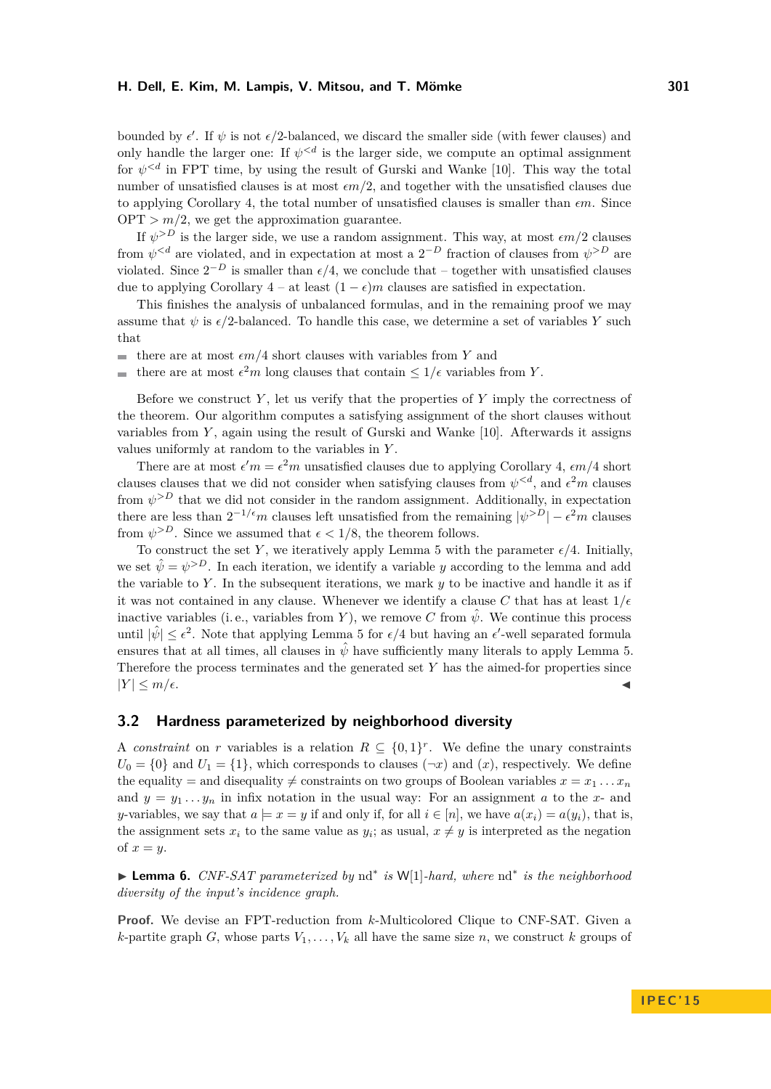bounded by  $\epsilon'$ . If  $\psi$  is not  $\epsilon/2$ -balanced, we discard the smaller side (with fewer clauses) and only handle the larger one: If  $\psi^{\leq d}$  is the larger side, we compute an optimal assignment for  $\psi^{\le d}$  in FPT time, by using the result of Gurski and Wanke [\[10\]](#page-10-8). This way the total number of unsatisfied clauses is at most *m/*2, and together with the unsatisfied clauses due to applying Corollary [4,](#page-6-0) the total number of unsatisfied clauses is smaller than  $\epsilon m$ . Since  $OPT > m/2$ , we get the approximation guarantee.

If  $\psi^{>D}$  is the larger side, we use a random assignment. This way, at most  $\epsilon m/2$  clauses from  $\psi^{< d}$  are violated, and in expectation at most a  $2^{-D}$  fraction of clauses from  $\psi^{> D}$  are violated. Since  $2^{-D}$  is smaller than  $\epsilon/4$ , we conclude that – together with unsatisfied clauses due to applying Corollary  $4 - at$  least  $(1 - \epsilon)m$  clauses are satisfied in expectation.

This finishes the analysis of unbalanced formulas, and in the remaining proof we may assume that  $\psi$  is  $\epsilon/2$ -balanced. To handle this case, we determine a set of variables *Y* such that

- there are at most  $\epsilon m/4$  short clauses with variables from *Y* and  $\frac{1}{2}$
- there are at most  $\epsilon^2 m$  long clauses that contain  $\leq 1/\epsilon$  variables from *Y*.  $\overline{a}$

Before we construct *Y* , let us verify that the properties of *Y* imply the correctness of the theorem. Our algorithm computes a satisfying assignment of the short clauses without variables from *Y* , again using the result of Gurski and Wanke [\[10\]](#page-10-8). Afterwards it assigns values uniformly at random to the variables in *Y* .

There are at most  $\epsilon' m = \epsilon^2 m$  unsatisfied clauses due to applying Corollary [4,](#page-6-0)  $\epsilon m/4$  short clauses clauses that we did not consider when satisfying clauses from  $\psi^{\leq d}$ , and  $\epsilon^2 m$  clauses from  $\psi$ <sup>>D</sup> that we did not consider in the random assignment. Additionally, in expectation there are less than  $2^{-1/\epsilon}m$  clauses left unsatisfied from the remaining  $|\psi^{>D}| - \epsilon^2m$  clauses from  $\psi^{>D}$ . Since we assumed that  $\epsilon < 1/8$ , the theorem follows.

To construct the set Y, we iteratively apply Lemma [5](#page-6-1) with the parameter  $\epsilon/4$ . Initially, we set  $\hat{\psi} = \psi^{>D}$ . In each iteration, we identify a variable *y* according to the lemma and add the variable to  $Y$ . In the subsequent iterations, we mark  $y$  to be inactive and handle it as if it was not contained in any clause. Whenever we identify a clause C that has at least  $1/\epsilon$ inactive variables (i. e., variables from *Y*), we remove *C* from  $\hat{\psi}$ . We continue this process until  $|\hat{\psi}| \leq \epsilon^2$ . Note that applying Lemma [5](#page-6-1) for  $\epsilon/4$  but having an  $\epsilon'$ -well separated formula ensures that at all times, all clauses in  $\hat{\psi}$  have sufficiently many literals to apply Lemma [5.](#page-6-1) Therefore the process terminates and the generated set *Y* has the aimed-for properties since  $|Y| \le m/\epsilon$ .

#### <span id="page-7-1"></span>**3.2 Hardness parameterized by neighborhood diversity**

A *constraint* on *r* variables is a relation  $R \subseteq \{0,1\}^r$ . We define the unary constraints  $U_0 = \{0\}$  and  $U_1 = \{1\}$ , which corresponds to clauses  $(\neg x)$  and  $(x)$ , respectively. We define the equality = and disequality  $\neq$  constraints on two groups of Boolean variables  $x = x_1 \dots x_n$ and  $y = y_1 \ldots y_n$  in infix notation in the usual way: For an assignment *a* to the *x*- and *y*-variables, we say that  $a \models x = y$  if and only if, for all  $i \in [n]$ , we have  $a(x_i) = a(y_i)$ , that is, the assignment sets  $x_i$  to the same value as  $y_i$ ; as usual,  $x \neq y$  is interpreted as the negation of  $x = y$ .

<span id="page-7-0"></span>I **Lemma 6.** *CNF-SAT parameterized by* nd<sup>∗</sup> *is* W[1]*-hard, where* nd<sup>∗</sup> *is the neighborhood diversity of the input's incidence graph.*

**Proof.** We devise an FPT-reduction from *k*-Multicolored Clique to CNF-SAT. Given a *k*-partite graph *G*, whose parts  $V_1, \ldots, V_k$  all have the same size *n*, we construct *k* groups of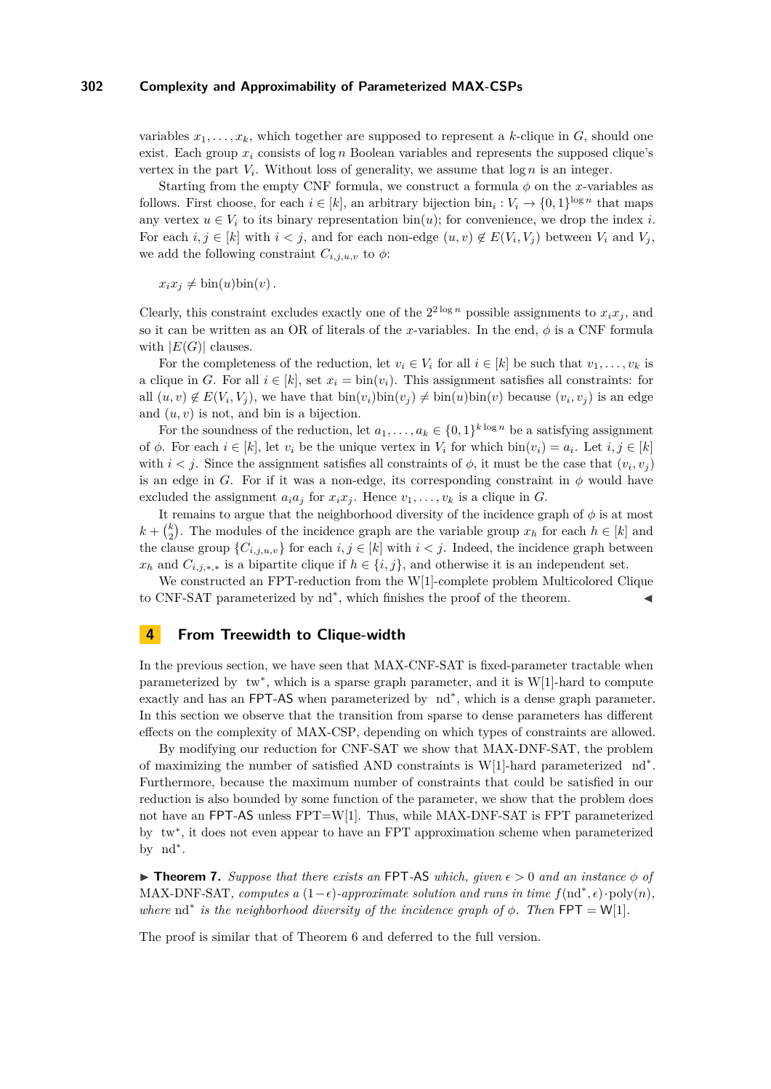variables  $x_1, \ldots, x_k$ , which together are supposed to represent a *k*-clique in *G*, should one exist. Each group  $x_i$  consists of log  $n$  Boolean variables and represents the supposed clique's vertex in the part  $V_i$ . Without loss of generality, we assume that  $\log n$  is an integer.

Starting from the empty CNF formula, we construct a formula  $\phi$  on the *x*-variables as follows. First choose, for each  $i \in [k]$ , an arbitrary bijection bin<sub>i</sub>:  $V_i \rightarrow \{0,1\}^{\log n}$  that maps any vertex  $u \in V_i$  to its binary representation  $\text{bin}(u)$ ; for convenience, we drop the index *i*. For each  $i, j \in [k]$  with  $i < j$ , and for each non-edge  $(u, v) \notin E(V_i, V_j)$  between  $V_i$  and  $V_j$ , we add the following constraint  $C_{i,j,u,v}$  to  $\phi$ :

 $x_i x_j \neq \text{bin}(u)\text{bin}(v)$ .

Clearly, this constraint excludes exactly one of the  $2^{2 \log n}$  possible assignments to  $x_i x_j$ , and so it can be written as an OR of literals of the *x*-variables. In the end, *φ* is a CNF formula with  $|E(G)|$  clauses.

For the completeness of the reduction, let  $v_i \in V_i$  for all  $i \in [k]$  be such that  $v_1, \ldots, v_k$  is a clique in *G*. For all  $i \in [k]$ , set  $x_i = \text{bin}(v_i)$ . This assignment satisfies all constraints: for all  $(u, v) \notin E(V_i, V_j)$ , we have that  $\text{bin}(v_i)\text{bin}(v_j) \neq \text{bin}(u)\text{bin}(v)$  because  $(v_i, v_j)$  is an edge and (*u, v*) is not, and bin is a bijection.

For the soundness of the reduction, let  $a_1, \ldots, a_k \in \{0,1\}^{k \log n}$  be a satisfying assignment of  $\phi$ . For each  $i \in [k]$ , let  $v_i$  be the unique vertex in  $V_i$  for which  $\text{bin}(v_i) = a_i$ . Let  $i, j \in [k]$ with  $i < j$ . Since the assignment satisfies all constraints of  $\phi$ , it must be the case that  $(v_i, v_j)$ is an edge in *G*. For if it was a non-edge, its corresponding constraint in  $\phi$  would have excluded the assignment  $a_i a_j$  for  $x_i x_j$ . Hence  $v_1, \ldots, v_k$  is a clique in *G*.

It remains to argue that the neighborhood diversity of the incidence graph of  $\phi$  is at most  $k + \binom{k}{2}$ . The modules of the incidence graph are the variable group  $x_h$  for each  $h \in [k]$  and the clause group  ${C_{i,j,u,v}}$  for each  $i, j \in [k]$  with  $i < j$ . Indeed, the incidence graph between  $x_h$  and  $C_{i,j,*,*}$  is a bipartite clique if  $h \in \{i,j\}$ , and otherwise it is an independent set.

We constructed an FPT-reduction from the W[1]-complete problem Multicolored Clique to CNF-SAT parameterized by  $nd^*$ , which finishes the proof of the theorem.  $\blacktriangleleft$ 

## **4 From Treewidth to Clique-width**

In the previous section, we have seen that MAX-CNF-SAT is fixed-parameter tractable when parameterized by tw<sup>\*</sup>, which is a sparse graph parameter, and it is W[1]-hard to compute exactly and has an FPT-AS when parameterized by nd<sup>∗</sup>, which is a dense graph parameter. In this section we observe that the transition from sparse to dense parameters has different effects on the complexity of MAX-CSP, depending on which types of constraints are allowed.

By modifying our reduction for CNF-SAT we show that MAX-DNF-SAT, the problem of maximizing the number of satisfied AND constraints is W[1]-hard parameterized nd<sup>∗</sup> . Furthermore, because the maximum number of constraints that could be satisfied in our reduction is also bounded by some function of the parameter, we show that the problem does not have an FPT-AS unless FPT=W[1]. Thus, while MAX-DNF-SAT is FPT parameterized by tw<sup>∗</sup> , it does not even appear to have an FPT approximation scheme when parameterized by nd<sup>∗</sup> .

<span id="page-8-0"></span> $\triangleright$  **Theorem 7.** *Suppose that there exists an* FPT-AS *which, given*  $\epsilon > 0$  *and an instance*  $\phi$  *of* MAX-DNF-SAT*, computes a*  $(1 - \epsilon)$ -approximate solution and runs in time  $f(\text{nd}^*, \epsilon) \cdot \text{poly}(n)$ , *where*  $nd^*$  *is the neighborhood diversity of the incidence graph of*  $\phi$ *. Then*  $FPT = W[1]$ *.* 

The proof is similar that of Theorem [6](#page-7-0) and deferred to the full version.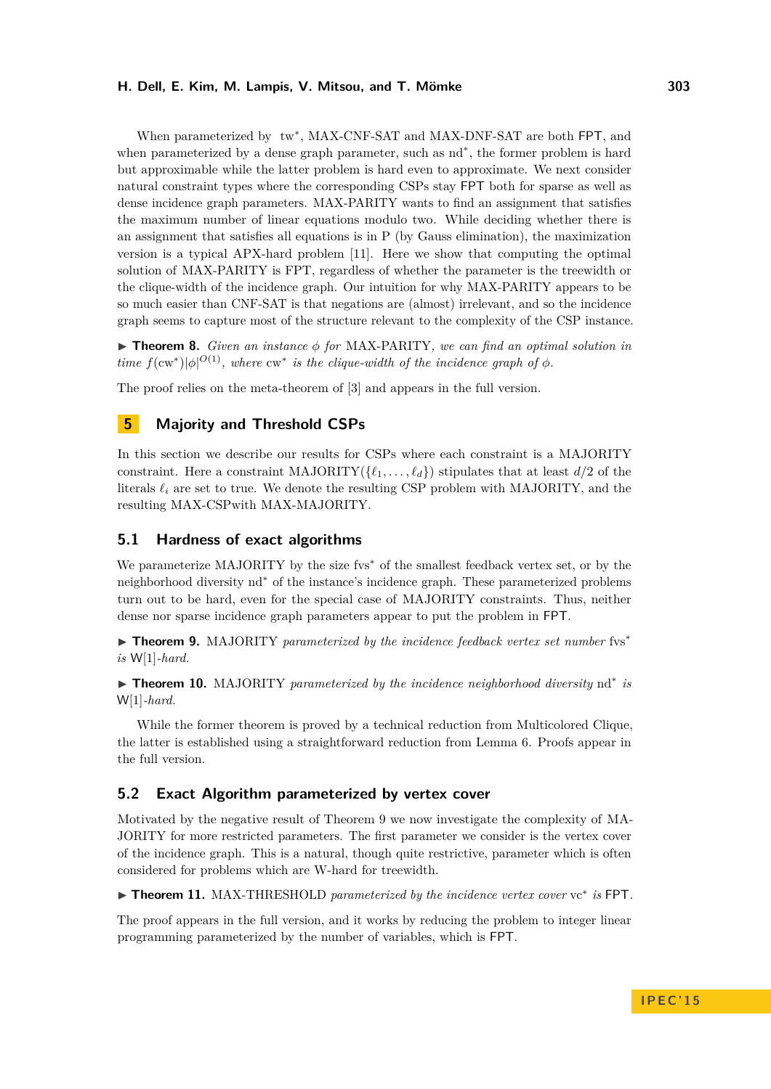When parameterized by tw<sup>∗</sup>, MAX-CNF-SAT and MAX-DNF-SAT are both FPT, and when parameterized by a dense graph parameter, such as nd<sup>\*</sup>, the former problem is hard but approximable while the latter problem is hard even to approximate. We next consider natural constraint types where the corresponding CSPs stay FPT both for sparse as well as dense incidence graph parameters. MAX-PARITY wants to find an assignment that satisfies the maximum number of linear equations modulo two. While deciding whether there is an assignment that satisfies all equations is in P (by Gauss elimination), the maximization version is a typical APX-hard problem [\[11\]](#page-11-10). Here we show that computing the optimal solution of MAX-PARITY is FPT, regardless of whether the parameter is the treewidth or the clique-width of the incidence graph. Our intuition for why MAX-PARITY appears to be so much easier than CNF-SAT is that negations are (almost) irrelevant, and so the incidence graph seems to capture most of the structure relevant to the complexity of the CSP instance.

<span id="page-9-1"></span>I **Theorem 8.** *Given an instance φ for* MAX-PARITY*, we can find an optimal solution in time*  $f(\text{cw}^*)|\phi|^{O(1)}$ , where  $\text{cw}^*$  *is the clique-width of the incidence graph of*  $\phi$ *.* 

The proof relies on the meta-theorem of [\[3\]](#page-10-9) and appears in the full version.

# **5 Majority and Threshold CSPs**

In this section we describe our results for CSPs where each constraint is a MAJORITY constraint. Here a constraint MAJORITY( $\{\ell_1, \ldots, \ell_d\}$ ) stipulates that at least  $d/2$  of the literals  $\ell_i$  are set to true. We denote the resulting CSP problem with MAJORITY, and the resulting MAX-CSPwith MAX-MAJORITY.

# **5.1 Hardness of exact algorithms**

We parameterize MAJORITY by the size fvs<sup>\*</sup> of the smallest feedback vertex set, or by the neighborhood diversity nd<sup>\*</sup> of the instance's incidence graph. These parameterized problems turn out to be hard, even for the special case of MAJORITY constraints. Thus, neither dense nor sparse incidence graph parameters appear to put the problem in FPT.

<span id="page-9-2"></span>I **Theorem 9.** MAJORITY *parameterized by the incidence feedback vertex set number* fvs<sup>∗</sup> *is* W[1]*-hard.*

<span id="page-9-3"></span>► **Theorem 10.** MAJORITY parameterized by the incidence neighborhood diversity nd<sup>\*</sup> is W[1]*-hard.*

While the former theorem is proved by a technical reduction from Multicolored Clique, the latter is established using a straightforward reduction from Lemma [6.](#page-7-0) Proofs appear in the full version.

## **5.2 Exact Algorithm parameterized by vertex cover**

Motivated by the negative result of Theorem [9](#page-9-2) we now investigate the complexity of MA-JORITY for more restricted parameters. The first parameter we consider is the vertex cover of the incidence graph. This is a natural, though quite restrictive, parameter which is often considered for problems which are W-hard for treewidth.

<span id="page-9-0"></span>I **Theorem 11.** MAX-THRESHOLD *parameterized by the incidence vertex cover* vc<sup>∗</sup> *is* FPT*.*

The proof appears in the full version, and it works by reducing the problem to integer linear programming parameterized by the number of variables, which is FPT.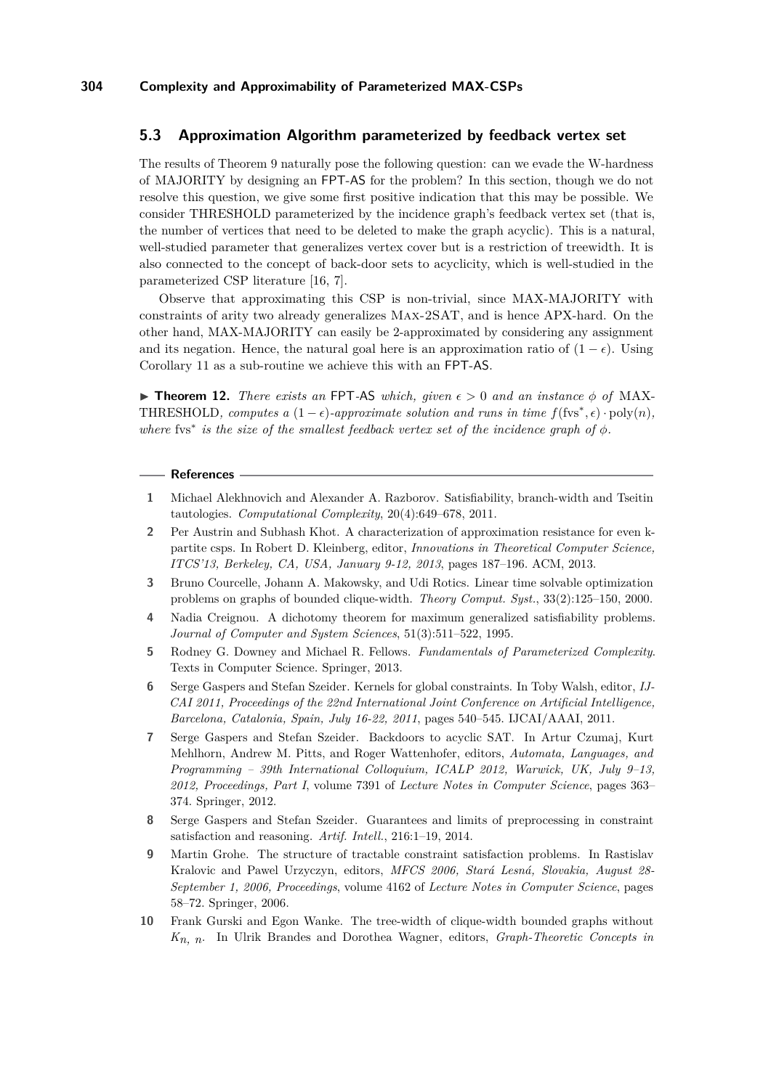## **5.3 Approximation Algorithm parameterized by feedback vertex set**

The results of Theorem [9](#page-9-2) naturally pose the following question: can we evade the W-hardness of MAJORITY by designing an FPT-AS for the problem? In this section, though we do not resolve this question, we give some first positive indication that this may be possible. We consider THRESHOLD parameterized by the incidence graph's feedback vertex set (that is, the number of vertices that need to be deleted to make the graph acyclic). This is a natural, well-studied parameter that generalizes vertex cover but is a restriction of treewidth. It is also connected to the concept of back-door sets to acyclicity, which is well-studied in the parameterized CSP literature [\[16,](#page-11-6) [7\]](#page-10-10).

Observe that approximating this CSP is non-trivial, since MAX-MAJORITY with constraints of arity two already generalizes Max-2SAT, and is hence APX-hard. On the other hand, MAX-MAJORITY can easily be 2-approximated by considering any assignment and its negation. Hence, the natural goal here is an approximation ratio of  $(1 - \epsilon)$ . Using Corollary [11](#page-9-0) as a sub-routine we achieve this with an FPT-AS.

<span id="page-10-5"></span>**Figurer 12.** *There exists an* FPT-AS *which, given*  $\epsilon > 0$  *and an instance*  $\phi$  *of* MAX-THRESHOLD, computes a  $(1 - \epsilon)$ -approximate solution and runs in time  $f(fvs^*, \epsilon) \cdot poly(n)$ , *where* fvs<sup>\*</sup> *is the size of the smallest feedback vertex set of the incidence graph of φ.* 

#### **References**

- <span id="page-10-7"></span>**1** Michael Alekhnovich and Alexander A. Razborov. Satisfiability, branch-width and Tseitin tautologies. *Computational Complexity*, 20(4):649–678, 2011.
- <span id="page-10-3"></span>**2** Per Austrin and Subhash Khot. A characterization of approximation resistance for even kpartite csps. In Robert D. Kleinberg, editor, *Innovations in Theoretical Computer Science, ITCS'13, Berkeley, CA, USA, January 9-12, 2013*, pages 187–196. ACM, 2013.
- <span id="page-10-9"></span>**3** Bruno Courcelle, Johann A. Makowsky, and Udi Rotics. Linear time solvable optimization problems on graphs of bounded clique-width. *Theory Comput. Syst.*, 33(2):125–150, 2000.
- <span id="page-10-4"></span>**4** Nadia Creignou. A dichotomy theorem for maximum generalized satisfiability problems. *Journal of Computer and System Sciences*, 51(3):511–522, 1995.
- <span id="page-10-6"></span>**5** Rodney G. Downey and Michael R. Fellows. *Fundamentals of Parameterized Complexity*. Texts in Computer Science. Springer, 2013.
- <span id="page-10-1"></span>**6** Serge Gaspers and Stefan Szeider. Kernels for global constraints. In Toby Walsh, editor, *IJ-CAI 2011, Proceedings of the 22nd International Joint Conference on Artificial Intelligence, Barcelona, Catalonia, Spain, July 16-22, 2011*, pages 540–545. IJCAI/AAAI, 2011.
- <span id="page-10-10"></span>**7** Serge Gaspers and Stefan Szeider. Backdoors to acyclic SAT. In Artur Czumaj, Kurt Mehlhorn, Andrew M. Pitts, and Roger Wattenhofer, editors, *Automata, Languages, and Programming – 39th International Colloquium, ICALP 2012, Warwick, UK, July 9–13, 2012, Proceedings, Part I*, volume 7391 of *Lecture Notes in Computer Science*, pages 363– 374. Springer, 2012.
- <span id="page-10-2"></span>**8** Serge Gaspers and Stefan Szeider. Guarantees and limits of preprocessing in constraint satisfaction and reasoning. *Artif. Intell.*, 216:1–19, 2014.
- <span id="page-10-0"></span>**9** Martin Grohe. The structure of tractable constraint satisfaction problems. In Rastislav Kralovic and Pawel Urzyczyn, editors, *MFCS 2006, Stará Lesná, Slovakia, August 28- September 1, 2006, Proceedings*, volume 4162 of *Lecture Notes in Computer Science*, pages 58–72. Springer, 2006.
- <span id="page-10-8"></span>**10** Frank Gurski and Egon Wanke. The tree-width of clique-width bounded graphs without *Kn, n*. In Ulrik Brandes and Dorothea Wagner, editors, *Graph-Theoretic Concepts in*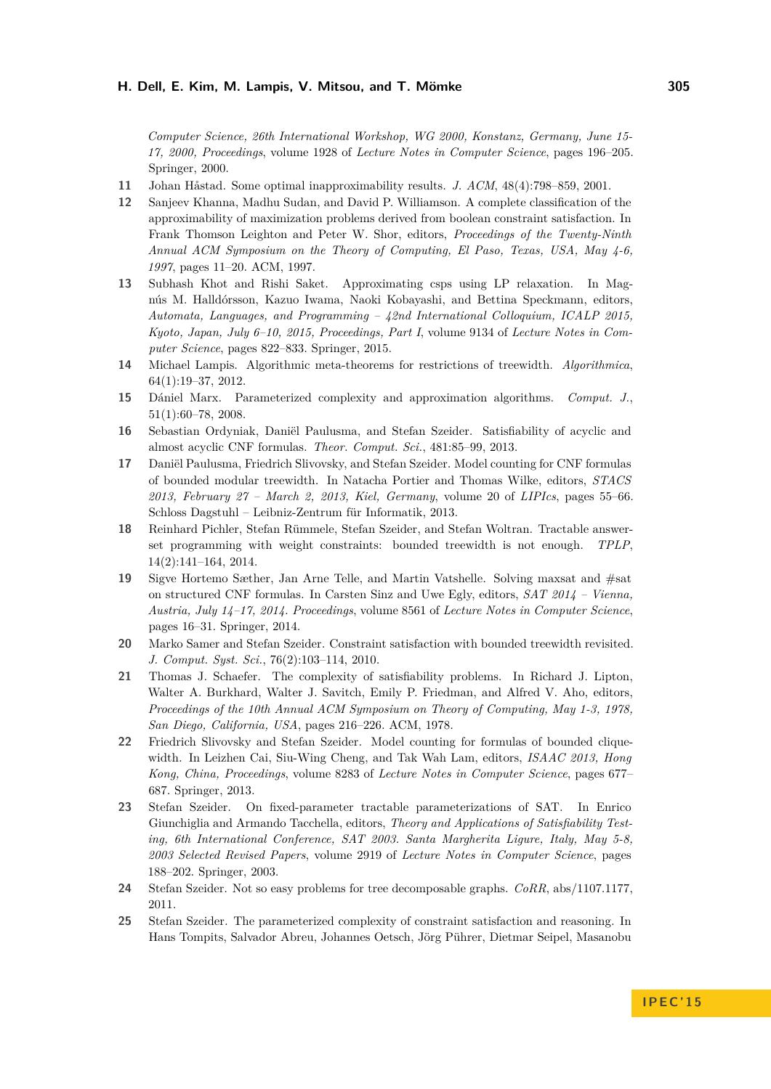*Computer Science, 26th International Workshop, WG 2000, Konstanz, Germany, June 15- 17, 2000, Proceedings*, volume 1928 of *Lecture Notes in Computer Science*, pages 196–205. Springer, 2000.

- <span id="page-11-10"></span>**11** Johan Håstad. Some optimal inapproximability results. *J. ACM*, 48(4):798–859, 2001.
- <span id="page-11-1"></span>**12** Sanjeev Khanna, Madhu Sudan, and David P. Williamson. A complete classification of the approximability of maximization problems derived from boolean constraint satisfaction. In Frank Thomson Leighton and Peter W. Shor, editors, *Proceedings of the Twenty-Ninth Annual ACM Symposium on the Theory of Computing, El Paso, Texas, USA, May 4-6, 1997*, pages 11–20. ACM, 1997.
- <span id="page-11-9"></span>**13** Subhash Khot and Rishi Saket. Approximating csps using LP relaxation. In Magnús M. Halldórsson, Kazuo Iwama, Naoki Kobayashi, and Bettina Speckmann, editors, *Automata, Languages, and Programming – 42nd International Colloquium, ICALP 2015, Kyoto, Japan, July 6–10, 2015, Proceedings, Part I*, volume 9134 of *Lecture Notes in Computer Science*, pages 822–833. Springer, 2015.
- <span id="page-11-11"></span>**14** Michael Lampis. Algorithmic meta-theorems for restrictions of treewidth. *Algorithmica*, 64(1):19–37, 2012.
- <span id="page-11-12"></span>**15** Dániel Marx. Parameterized complexity and approximation algorithms. *Comput. J.*, 51(1):60–78, 2008.
- <span id="page-11-6"></span>**16** Sebastian Ordyniak, Daniël Paulusma, and Stefan Szeider. Satisfiability of acyclic and almost acyclic CNF formulas. *Theor. Comput. Sci.*, 481:85–99, 2013.
- <span id="page-11-7"></span>**17** Daniël Paulusma, Friedrich Slivovsky, and Stefan Szeider. Model counting for CNF formulas of bounded modular treewidth. In Natacha Portier and Thomas Wilke, editors, *STACS 2013, February 27 – March 2, 2013, Kiel, Germany*, volume 20 of *LIPIcs*, pages 55–66. Schloss Dagstuhl – Leibniz-Zentrum für Informatik, 2013.
- <span id="page-11-2"></span>**18** Reinhard Pichler, Stefan Rümmele, Stefan Szeider, and Stefan Woltran. Tractable answerset programming with weight constraints: bounded treewidth is not enough. *TPLP*, 14(2):141–164, 2014.
- <span id="page-11-14"></span>19 Sigve Hortemo Sæther, Jan Arne Telle, and Martin Vatshelle. Solving maxsat and #sat on structured CNF formulas. In Carsten Sinz and Uwe Egly, editors, *SAT 2014 – Vienna, Austria, July 14–17, 2014. Proceedings*, volume 8561 of *Lecture Notes in Computer Science*, pages 16–31. Springer, 2014.
- <span id="page-11-4"></span>**20** Marko Samer and Stefan Szeider. Constraint satisfaction with bounded treewidth revisited. *J. Comput. Syst. Sci.*, 76(2):103–114, 2010.
- <span id="page-11-0"></span>**21** Thomas J. Schaefer. The complexity of satisfiability problems. In Richard J. Lipton, Walter A. Burkhard, Walter J. Savitch, Emily P. Friedman, and Alfred V. Aho, editors, *Proceedings of the 10th Annual ACM Symposium on Theory of Computing, May 1-3, 1978, San Diego, California, USA*, pages 216–226. ACM, 1978.
- <span id="page-11-13"></span>**22** Friedrich Slivovsky and Stefan Szeider. Model counting for formulas of bounded cliquewidth. In Leizhen Cai, Siu-Wing Cheng, and Tak Wah Lam, editors, *ISAAC 2013, Hong Kong, China, Proceedings*, volume 8283 of *Lecture Notes in Computer Science*, pages 677– 687. Springer, 2013.
- <span id="page-11-5"></span>**23** Stefan Szeider. On fixed-parameter tractable parameterizations of SAT. In Enrico Giunchiglia and Armando Tacchella, editors, *Theory and Applications of Satisfiability Testing, 6th International Conference, SAT 2003. Santa Margherita Ligure, Italy, May 5-8, 2003 Selected Revised Papers*, volume 2919 of *Lecture Notes in Computer Science*, pages 188–202. Springer, 2003.
- <span id="page-11-8"></span>**24** Stefan Szeider. Not so easy problems for tree decomposable graphs. *CoRR*, abs/1107.1177, 2011.
- <span id="page-11-3"></span>**25** Stefan Szeider. The parameterized complexity of constraint satisfaction and reasoning. In Hans Tompits, Salvador Abreu, Johannes Oetsch, Jörg Pührer, Dietmar Seipel, Masanobu